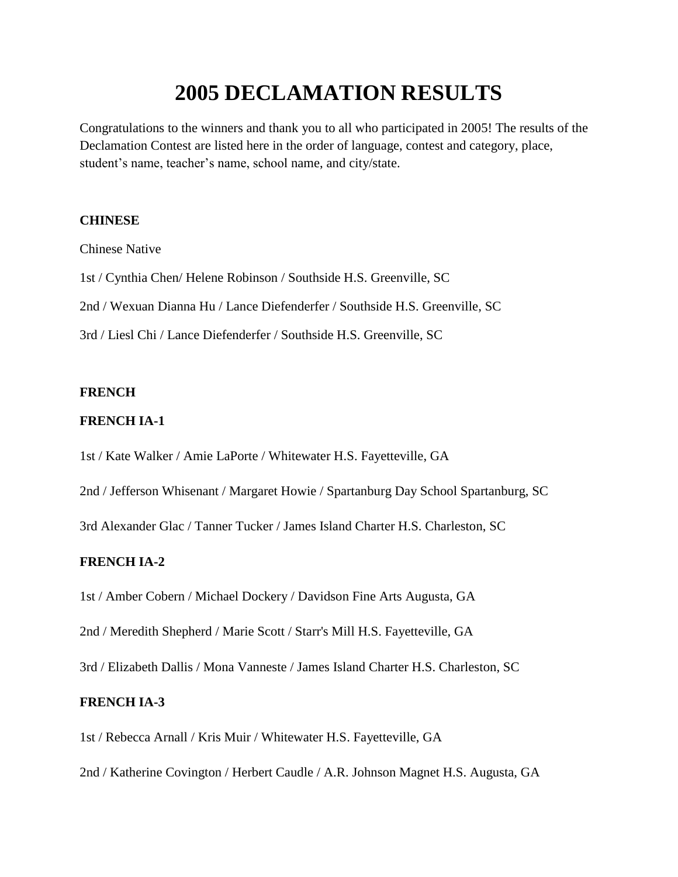# **2005 DECLAMATION RESULTS**

Congratulations to the winners and thank you to all who participated in 2005! The results of the Declamation Contest are listed here in the order of language, contest and category, place, student's name, teacher's name, school name, and city/state.

# **CHINESE**

Chinese Native

1st / Cynthia Chen/ Helene Robinson / Southside H.S. Greenville, SC

2nd / Wexuan Dianna Hu / Lance Diefenderfer / Southside H.S. Greenville, SC

3rd / Liesl Chi / Lance Diefenderfer / Southside H.S. Greenville, SC

## **FRENCH**

## **FRENCH IA-1**

1st / Kate Walker / Amie LaPorte / Whitewater H.S. Fayetteville, GA

2nd / Jefferson Whisenant / Margaret Howie / Spartanburg Day School Spartanburg, SC

3rd Alexander Glac / Tanner Tucker / James Island Charter H.S. Charleston, SC

# **FRENCH IA-2**

1st / Amber Cobern / Michael Dockery / Davidson Fine Arts Augusta, GA

2nd / Meredith Shepherd / Marie Scott / Starr's Mill H.S. Fayetteville, GA

3rd / Elizabeth Dallis / Mona Vanneste / James Island Charter H.S. Charleston, SC

## **FRENCH IA-3**

1st / Rebecca Arnall / Kris Muir / Whitewater H.S. Fayetteville, GA

2nd / Katherine Covington / Herbert Caudle / A.R. Johnson Magnet H.S. Augusta, GA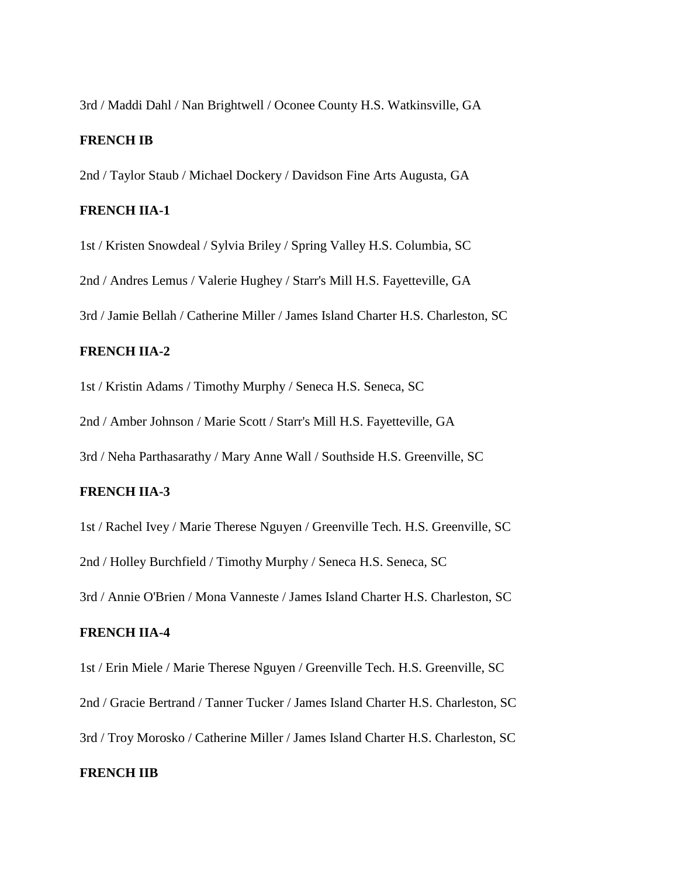3rd / Maddi Dahl / Nan Brightwell / Oconee County H.S. Watkinsville, GA

#### **FRENCH IB**

2nd / Taylor Staub / Michael Dockery / Davidson Fine Arts Augusta, GA

## **FRENCH IIA-1**

1st / Kristen Snowdeal / Sylvia Briley / Spring Valley H.S. Columbia, SC

2nd / Andres Lemus / Valerie Hughey / Starr's Mill H.S. Fayetteville, GA

3rd / Jamie Bellah / Catherine Miller / James Island Charter H.S. Charleston, SC

#### **FRENCH IIA-2**

1st / Kristin Adams / Timothy Murphy / Seneca H.S. Seneca, SC

2nd / Amber Johnson / Marie Scott / Starr's Mill H.S. Fayetteville, GA

3rd / Neha Parthasarathy / Mary Anne Wall / Southside H.S. Greenville, SC

#### **FRENCH IIA-3**

1st / Rachel Ivey / Marie Therese Nguyen / Greenville Tech. H.S. Greenville, SC 2nd / Holley Burchfield / Timothy Murphy / Seneca H.S. Seneca, SC 3rd / Annie O'Brien / Mona Vanneste / James Island Charter H.S. Charleston, SC

#### **FRENCH IIA-4**

1st / Erin Miele / Marie Therese Nguyen / Greenville Tech. H.S. Greenville, SC 2nd / Gracie Bertrand / Tanner Tucker / James Island Charter H.S. Charleston, SC 3rd / Troy Morosko / Catherine Miller / James Island Charter H.S. Charleston, SC

# **FRENCH IIB**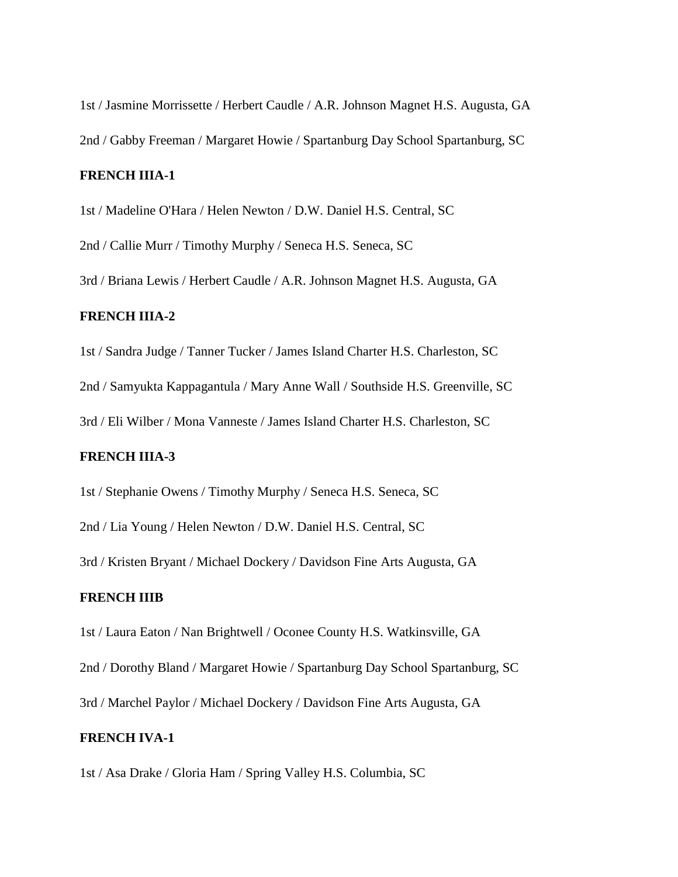1st / Jasmine Morrissette / Herbert Caudle / A.R. Johnson Magnet H.S. Augusta, GA 2nd / Gabby Freeman / Margaret Howie / Spartanburg Day School Spartanburg, SC

#### **FRENCH IIIA-1**

1st / Madeline O'Hara / Helen Newton / D.W. Daniel H.S. Central, SC

2nd / Callie Murr / Timothy Murphy / Seneca H.S. Seneca, SC

3rd / Briana Lewis / Herbert Caudle / A.R. Johnson Magnet H.S. Augusta, GA

## **FRENCH IIIA-2**

1st / Sandra Judge / Tanner Tucker / James Island Charter H.S. Charleston, SC 2nd / Samyukta Kappagantula / Mary Anne Wall / Southside H.S. Greenville, SC

3rd / Eli Wilber / Mona Vanneste / James Island Charter H.S. Charleston, SC

# **FRENCH IIIA-3**

1st / Stephanie Owens / Timothy Murphy / Seneca H.S. Seneca, SC

2nd / Lia Young / Helen Newton / D.W. Daniel H.S. Central, SC

3rd / Kristen Bryant / Michael Dockery / Davidson Fine Arts Augusta, GA

## **FRENCH IIIB**

1st / Laura Eaton / Nan Brightwell / Oconee County H.S. Watkinsville, GA

2nd / Dorothy Bland / Margaret Howie / Spartanburg Day School Spartanburg, SC

3rd / Marchel Paylor / Michael Dockery / Davidson Fine Arts Augusta, GA

# **FRENCH IVA-1**

1st / Asa Drake / Gloria Ham / Spring Valley H.S. Columbia, SC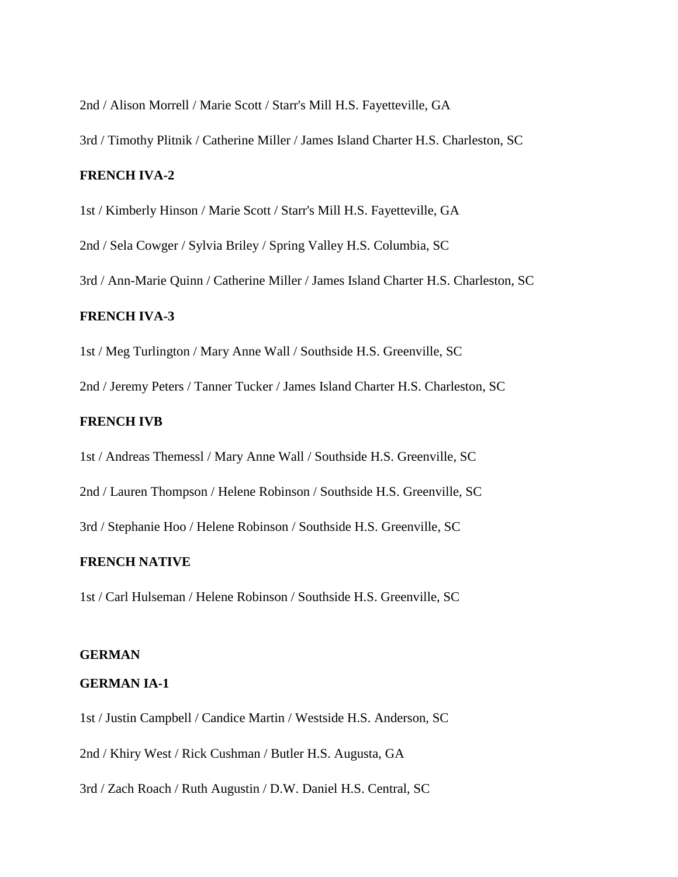2nd / Alison Morrell / Marie Scott / Starr's Mill H.S. Fayetteville, GA

3rd / Timothy Plitnik / Catherine Miller / James Island Charter H.S. Charleston, SC

#### **FRENCH IVA-2**

1st / Kimberly Hinson / Marie Scott / Starr's Mill H.S. Fayetteville, GA

2nd / Sela Cowger / Sylvia Briley / Spring Valley H.S. Columbia, SC

3rd / Ann-Marie Quinn / Catherine Miller / James Island Charter H.S. Charleston, SC

#### **FRENCH IVA-3**

1st / Meg Turlington / Mary Anne Wall / Southside H.S. Greenville, SC

2nd / Jeremy Peters / Tanner Tucker / James Island Charter H.S. Charleston, SC

## **FRENCH IVB**

1st / Andreas Themessl / Mary Anne Wall / Southside H.S. Greenville, SC

2nd / Lauren Thompson / Helene Robinson / Southside H.S. Greenville, SC

3rd / Stephanie Hoo / Helene Robinson / Southside H.S. Greenville, SC

## **FRENCH NATIVE**

1st / Carl Hulseman / Helene Robinson / Southside H.S. Greenville, SC

#### **GERMAN**

#### **GERMAN IA-1**

1st / Justin Campbell / Candice Martin / Westside H.S. Anderson, SC

2nd / Khiry West / Rick Cushman / Butler H.S. Augusta, GA

3rd / Zach Roach / Ruth Augustin / D.W. Daniel H.S. Central, SC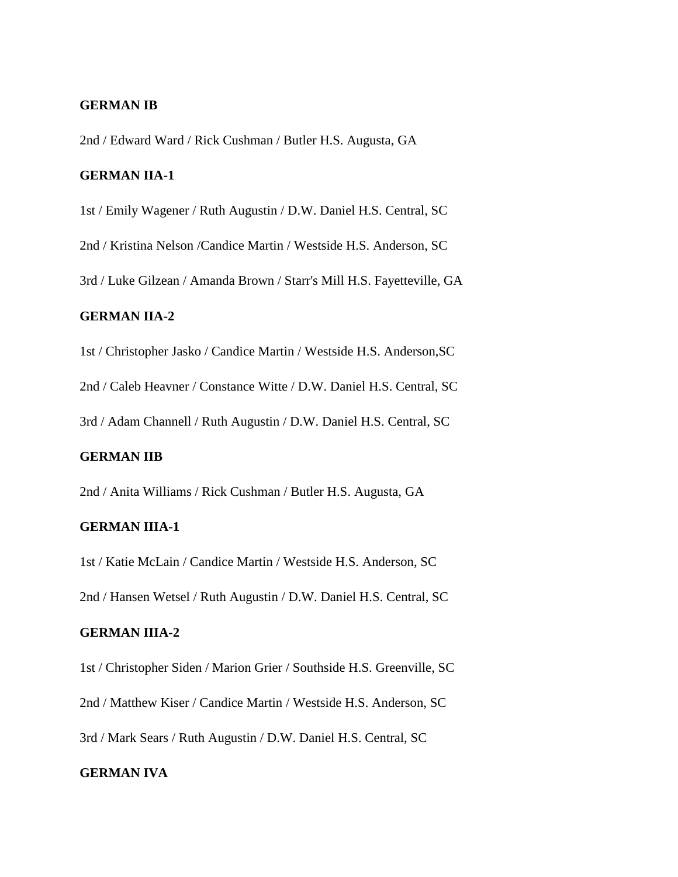## **GERMAN IB**

2nd / Edward Ward / Rick Cushman / Butler H.S. Augusta, GA

#### **GERMAN IIA-1**

1st / Emily Wagener / Ruth Augustin / D.W. Daniel H.S. Central, SC

2nd / Kristina Nelson /Candice Martin / Westside H.S. Anderson, SC

3rd / Luke Gilzean / Amanda Brown / Starr's Mill H.S. Fayetteville, GA

#### **GERMAN IIA-2**

1st / Christopher Jasko / Candice Martin / Westside H.S. Anderson,SC

2nd / Caleb Heavner / Constance Witte / D.W. Daniel H.S. Central, SC

3rd / Adam Channell / Ruth Augustin / D.W. Daniel H.S. Central, SC

## **GERMAN IIB**

2nd / Anita Williams / Rick Cushman / Butler H.S. Augusta, GA

## **GERMAN IIIA-1**

1st / Katie McLain / Candice Martin / Westside H.S. Anderson, SC 2nd / Hansen Wetsel / Ruth Augustin / D.W. Daniel H.S. Central, SC

#### **GERMAN IIIA-2**

1st / Christopher Siden / Marion Grier / Southside H.S. Greenville, SC

2nd / Matthew Kiser / Candice Martin / Westside H.S. Anderson, SC

3rd / Mark Sears / Ruth Augustin / D.W. Daniel H.S. Central, SC

#### **GERMAN IVA**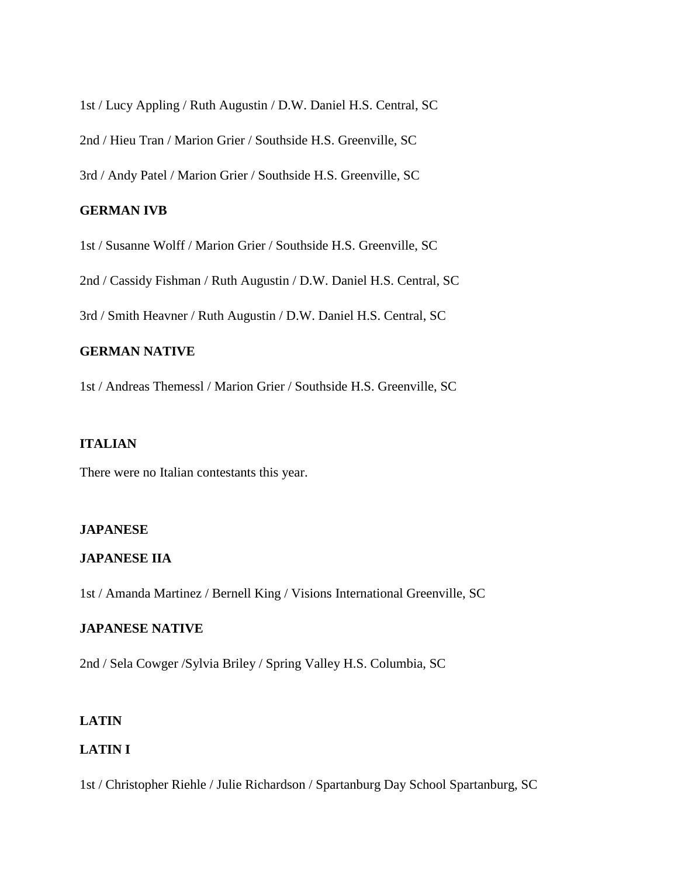1st / Lucy Appling / Ruth Augustin / D.W. Daniel H.S. Central, SC

2nd / Hieu Tran / Marion Grier / Southside H.S. Greenville, SC

3rd / Andy Patel / Marion Grier / Southside H.S. Greenville, SC

## **GERMAN IVB**

1st / Susanne Wolff / Marion Grier / Southside H.S. Greenville, SC

2nd / Cassidy Fishman / Ruth Augustin / D.W. Daniel H.S. Central, SC

3rd / Smith Heavner / Ruth Augustin / D.W. Daniel H.S. Central, SC

# **GERMAN NATIVE**

1st / Andreas Themessl / Marion Grier / Southside H.S. Greenville, SC

## **ITALIAN**

There were no Italian contestants this year.

## **JAPANESE**

#### **JAPANESE IIA**

1st / Amanda Martinez / Bernell King / Visions International Greenville, SC

## **JAPANESE NATIVE**

2nd / Sela Cowger /Sylvia Briley / Spring Valley H.S. Columbia, SC

# **LATIN**

# **LATIN I**

1st / Christopher Riehle / Julie Richardson / Spartanburg Day School Spartanburg, SC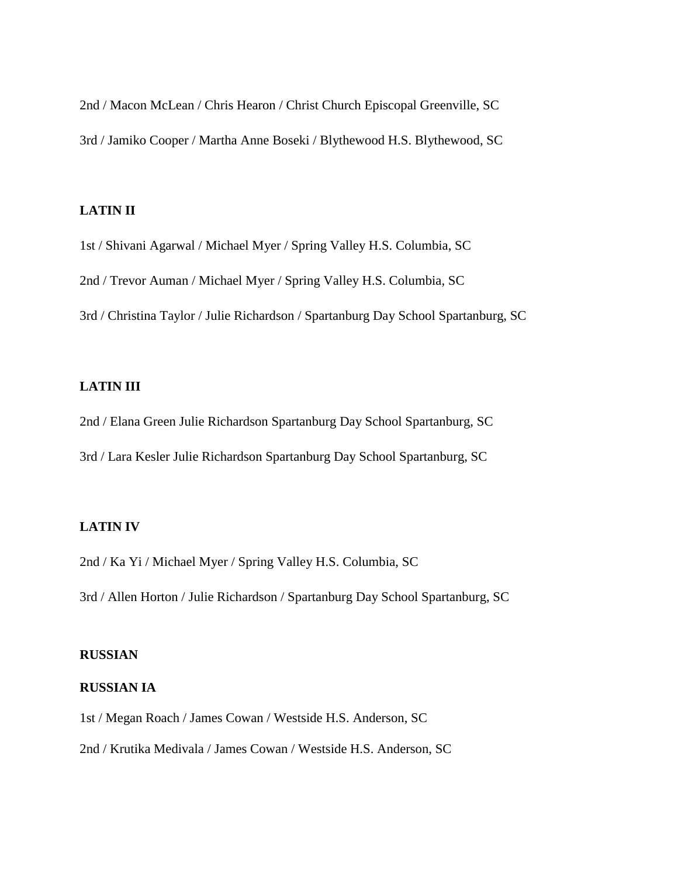2nd / Macon McLean / Chris Hearon / Christ Church Episcopal Greenville, SC 3rd / Jamiko Cooper / Martha Anne Boseki / Blythewood H.S. Blythewood, SC

## **LATIN II**

1st / Shivani Agarwal / Michael Myer / Spring Valley H.S. Columbia, SC

2nd / Trevor Auman / Michael Myer / Spring Valley H.S. Columbia, SC

3rd / Christina Taylor / Julie Richardson / Spartanburg Day School Spartanburg, SC

# **LATIN III**

2nd / Elana Green Julie Richardson Spartanburg Day School Spartanburg, SC

3rd / Lara Kesler Julie Richardson Spartanburg Day School Spartanburg, SC

## **LATIN IV**

2nd / Ka Yi / Michael Myer / Spring Valley H.S. Columbia, SC

3rd / Allen Horton / Julie Richardson / Spartanburg Day School Spartanburg, SC

## **RUSSIAN**

#### **RUSSIAN IA**

1st / Megan Roach / James Cowan / Westside H.S. Anderson, SC

2nd / Krutika Medivala / James Cowan / Westside H.S. Anderson, SC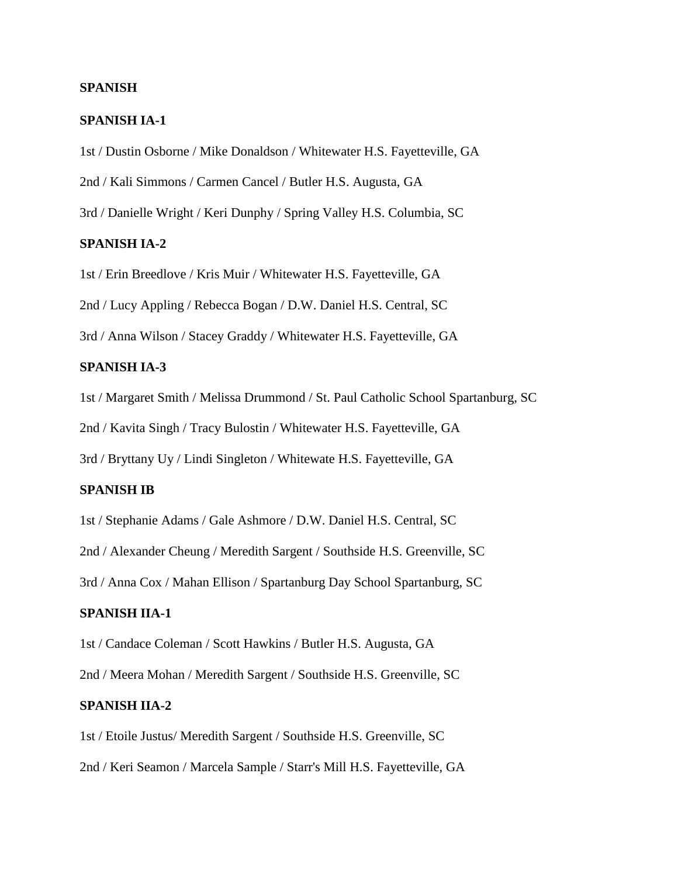#### **SPANISH**

#### **SPANISH IA-1**

1st / Dustin Osborne / Mike Donaldson / Whitewater H.S. Fayetteville, GA

2nd / Kali Simmons / Carmen Cancel / Butler H.S. Augusta, GA

3rd / Danielle Wright / Keri Dunphy / Spring Valley H.S. Columbia, SC

# **SPANISH IA-2**

1st / Erin Breedlove / Kris Muir / Whitewater H.S. Fayetteville, GA

2nd / Lucy Appling / Rebecca Bogan / D.W. Daniel H.S. Central, SC

3rd / Anna Wilson / Stacey Graddy / Whitewater H.S. Fayetteville, GA

# **SPANISH IA-3**

1st / Margaret Smith / Melissa Drummond / St. Paul Catholic School Spartanburg, SC

2nd / Kavita Singh / Tracy Bulostin / Whitewater H.S. Fayetteville, GA

3rd / Bryttany Uy / Lindi Singleton / Whitewate H.S. Fayetteville, GA

## **SPANISH IB**

1st / Stephanie Adams / Gale Ashmore / D.W. Daniel H.S. Central, SC

2nd / Alexander Cheung / Meredith Sargent / Southside H.S. Greenville, SC

3rd / Anna Cox / Mahan Ellison / Spartanburg Day School Spartanburg, SC

# **SPANISH IIA-1**

1st / Candace Coleman / Scott Hawkins / Butler H.S. Augusta, GA

2nd / Meera Mohan / Meredith Sargent / Southside H.S. Greenville, SC

## **SPANISH IIA-2**

1st / Etoile Justus/ Meredith Sargent / Southside H.S. Greenville, SC 2nd / Keri Seamon / Marcela Sample / Starr's Mill H.S. Fayetteville, GA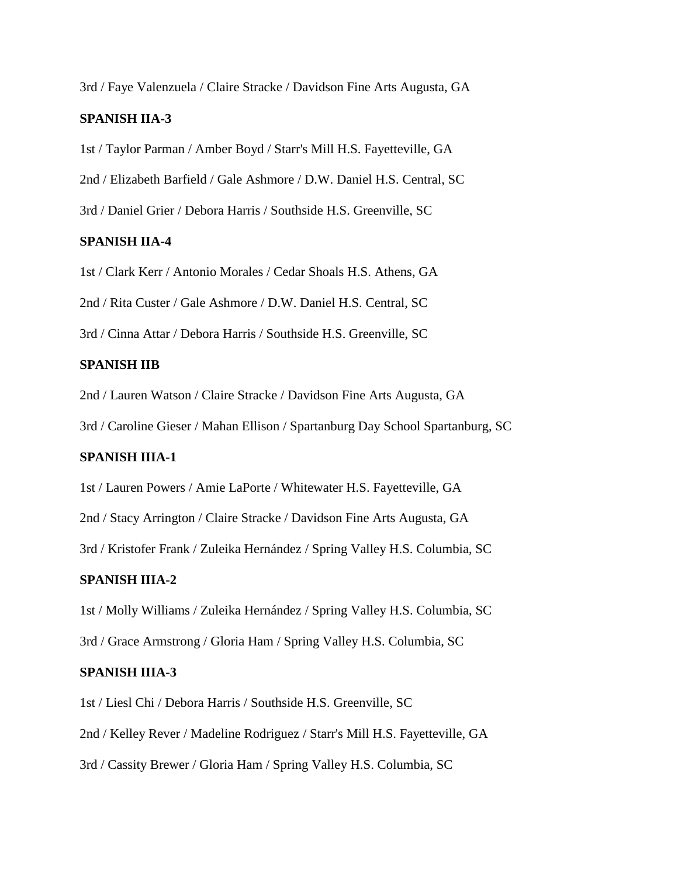3rd / Faye Valenzuela / Claire Stracke / Davidson Fine Arts Augusta, GA

## **SPANISH IIA-3**

1st / Taylor Parman / Amber Boyd / Starr's Mill H.S. Fayetteville, GA

2nd / Elizabeth Barfield / Gale Ashmore / D.W. Daniel H.S. Central, SC

3rd / Daniel Grier / Debora Harris / Southside H.S. Greenville, SC

#### **SPANISH IIA-4**

1st / Clark Kerr / Antonio Morales / Cedar Shoals H.S. Athens, GA

2nd / Rita Custer / Gale Ashmore / D.W. Daniel H.S. Central, SC

3rd / Cinna Attar / Debora Harris / Southside H.S. Greenville, SC

#### **SPANISH IIB**

2nd / Lauren Watson / Claire Stracke / Davidson Fine Arts Augusta, GA

3rd / Caroline Gieser / Mahan Ellison / Spartanburg Day School Spartanburg, SC

# **SPANISH IIIA-1**

1st / Lauren Powers / Amie LaPorte / Whitewater H.S. Fayetteville, GA

2nd / Stacy Arrington / Claire Stracke / Davidson Fine Arts Augusta, GA

3rd / Kristofer Frank / Zuleika Hernández / Spring Valley H.S. Columbia, SC

## **SPANISH IIIA-2**

1st / Molly Williams / Zuleika Hernández / Spring Valley H.S. Columbia, SC

3rd / Grace Armstrong / Gloria Ham / Spring Valley H.S. Columbia, SC

#### **SPANISH IIIA-3**

1st / Liesl Chi / Debora Harris / Southside H.S. Greenville, SC 2nd / Kelley Rever / Madeline Rodriguez / Starr's Mill H.S. Fayetteville, GA 3rd / Cassity Brewer / Gloria Ham / Spring Valley H.S. Columbia, SC